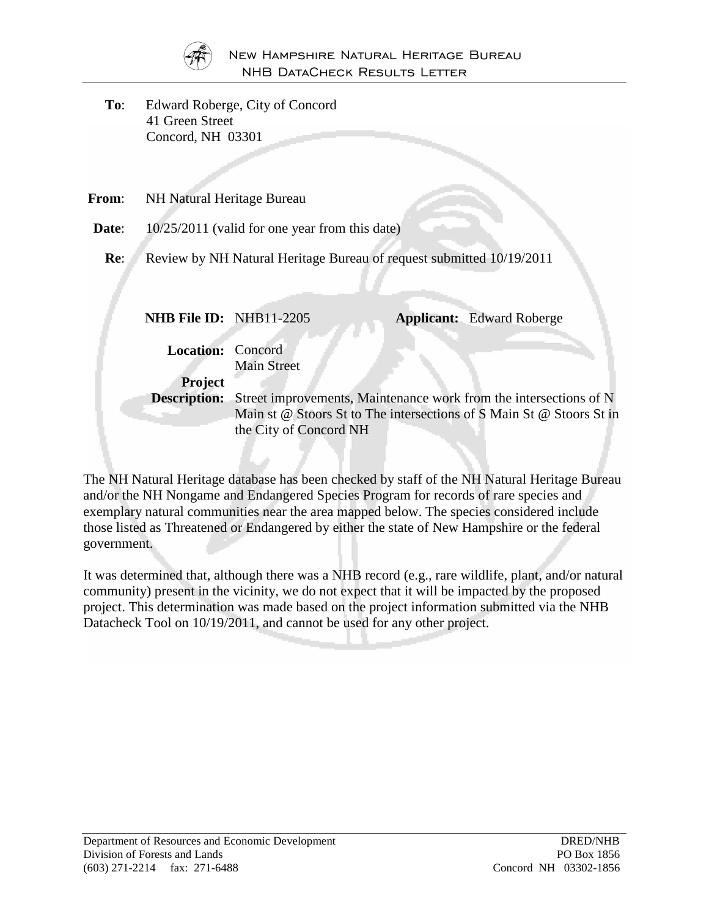

**To**: Edward Roberge, City of Concord 41 Green Street Concord, NH 03301

| $10/25/2011$ (valid for one year from this date) |                        |                                                                                          |                                                                                                                                                                                                                                       |
|--------------------------------------------------|------------------------|------------------------------------------------------------------------------------------|---------------------------------------------------------------------------------------------------------------------------------------------------------------------------------------------------------------------------------------|
|                                                  |                        |                                                                                          |                                                                                                                                                                                                                                       |
|                                                  |                        |                                                                                          | <b>Applicant:</b> Edward Roberge                                                                                                                                                                                                      |
|                                                  | <b>Main Street</b>     |                                                                                          |                                                                                                                                                                                                                                       |
| <b>Project</b>                                   | the City of Concord NH |                                                                                          |                                                                                                                                                                                                                                       |
|                                                  |                        | NH Natural Heritage Bureau<br><b>NHB File ID: NHB11-2205</b><br><b>Location:</b> Concord | Review by NH Natural Heritage Bureau of request submitted 10/19/2011<br><b>Description:</b> Street improvements, Maintenance work from the intersections of N<br>Main st @ Stoors St to The intersections of S Main St @ Stoors St in |

The NH Natural Heritage database has been checked by staff of the NH Natural Heritage Bureau and/or the NH Nongame and Endangered Species Program for records of rare species and exemplary natural communities near the area mapped below. The species considered include those listed as Threatened or Endangered by either the state of New Hampshire or the federal government.

It was determined that, although there was a NHB record (e.g., rare wildlife, plant, and/or natural community) present in the vicinity, we do not expect that it will be impacted by the proposed project. This determination was made based on the project information submitted via the NHB Datacheck Tool on 10/19/2011, and cannot be used for any other project.